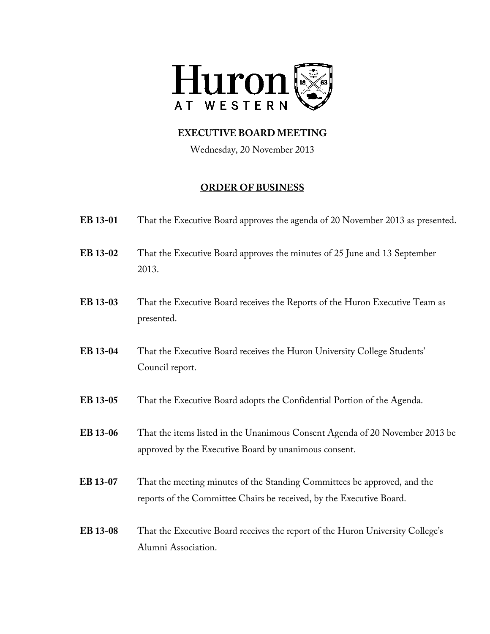

Wednesday, 20 November 2013

- **EB 13-01** That the Executive Board approves the agenda of 20 November 2013 as presented.
- **EB 13-02** That the Executive Board approves the minutes of 25 June and 13 September 2013.
- **EB 13-03** That the Executive Board receives the Reports of the Huron Executive Team as presented.
- **EB 13-04** That the Executive Board receives the Huron University College Students' Council report.
- **EB 13-05** That the Executive Board adopts the Confidential Portion of the Agenda.
- **EB 13-06** That the items listed in the Unanimous Consent Agenda of 20 November 2013 be approved by the Executive Board by unanimous consent.
- **EB 13-07** That the meeting minutes of the Standing Committees be approved, and the reports of the Committee Chairs be received, by the Executive Board.
- **EB 13-08** That the Executive Board receives the report of the Huron University College's Alumni Association.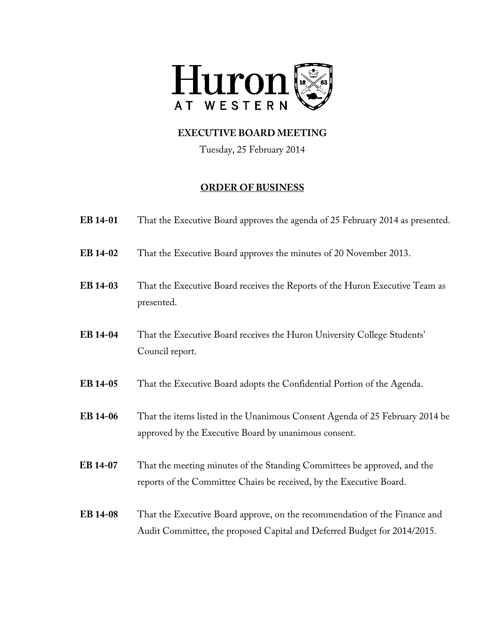

Tuesday, 25 February 2014

| EB 14-01        | That the Executive Board approves the agenda of 25 February 2014 as presented.                                                                         |
|-----------------|--------------------------------------------------------------------------------------------------------------------------------------------------------|
| EB 14-02        | That the Executive Board approves the minutes of 20 November 2013.                                                                                     |
| EB 14-03        | That the Executive Board receives the Reports of the Huron Executive Team as<br>presented.                                                             |
| EB 14-04        | That the Executive Board receives the Huron University College Students'<br>Council report.                                                            |
| EB 14-05        | That the Executive Board adopts the Confidential Portion of the Agenda.                                                                                |
| EB 14-06        | That the items listed in the Unanimous Consent Agenda of 25 February 2014 be<br>approved by the Executive Board by unanimous consent.                  |
| EB 14-07        | That the meeting minutes of the Standing Committees be approved, and the<br>reports of the Committee Chairs be received, by the Executive Board.       |
| <b>EB</b> 14-08 | That the Executive Board approve, on the recommendation of the Finance and<br>Audit Committee, the proposed Capital and Deferred Budget for 2014/2015. |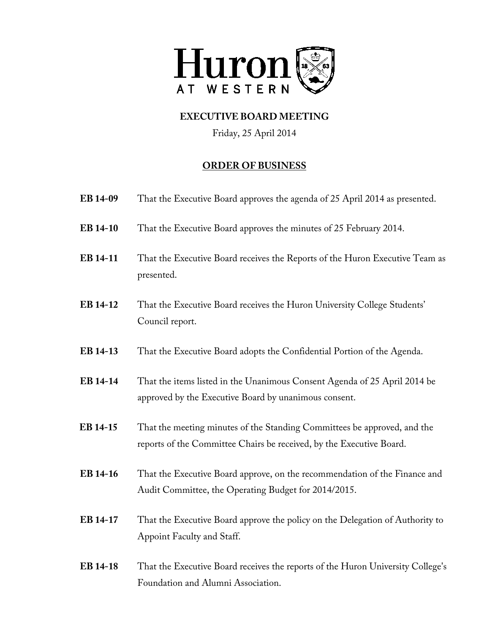

Friday, 25 April 2014

| EB 14-09        | That the Executive Board approves the agenda of 25 April 2014 as presented.                                                                      |
|-----------------|--------------------------------------------------------------------------------------------------------------------------------------------------|
| EB 14-10        | That the Executive Board approves the minutes of 25 February 2014.                                                                               |
| EB 14-11        | That the Executive Board receives the Reports of the Huron Executive Team as<br>presented.                                                       |
| EB 14-12        | That the Executive Board receives the Huron University College Students'<br>Council report.                                                      |
| EB 14-13        | That the Executive Board adopts the Confidential Portion of the Agenda.                                                                          |
| EB 14-14        | That the items listed in the Unanimous Consent Agenda of 25 April 2014 be<br>approved by the Executive Board by unanimous consent.               |
| EB 14-15        | That the meeting minutes of the Standing Committees be approved, and the<br>reports of the Committee Chairs be received, by the Executive Board. |
| EB 14-16        | That the Executive Board approve, on the recommendation of the Finance and<br>Audit Committee, the Operating Budget for 2014/2015.               |
| EB 14-17        | That the Executive Board approve the policy on the Delegation of Authority to<br>Appoint Faculty and Staff.                                      |
| <b>EB 14-18</b> | That the Executive Board receives the reports of the Huron University College's<br>Foundation and Alumni Association.                            |
|                 |                                                                                                                                                  |